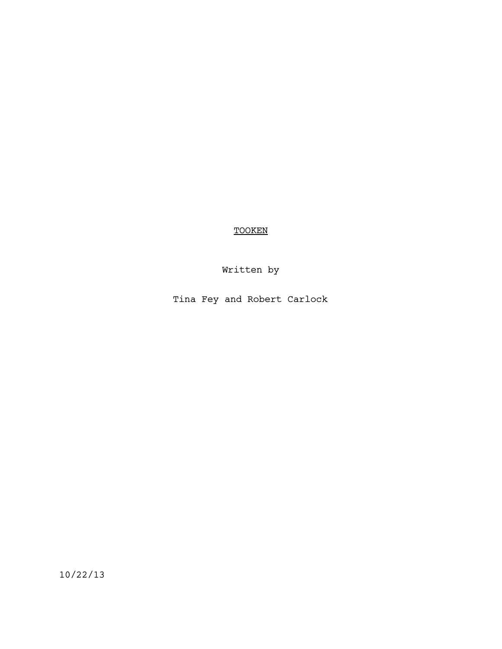TOOKEN

Written by

Tina Fey and Robert Carlock

10/22/13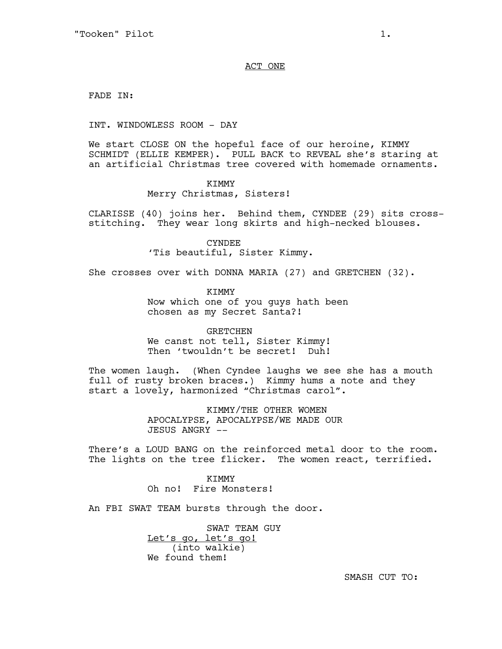### ACT ONE

FADE IN:

INT. WINDOWLESS ROOM - DAY

We start CLOSE ON the hopeful face of our heroine, KIMMY SCHMIDT (ELLIE KEMPER). PULL BACK to REVEAL she's staring at an artificial Christmas tree covered with homemade ornaments.

KIMMY

Merry Christmas, Sisters!

CLARISSE (40) joins her. Behind them, CYNDEE (29) sits crossstitching. They wear long skirts and high-necked blouses.

> CYNDEE 'Tis beautiful, Sister Kimmy.

She crosses over with DONNA MARIA (27) and GRETCHEN (32).

KIMMY Now which one of you guys hath been chosen as my Secret Santa?!

**GRETCHEN** We canst not tell, Sister Kimmy! Then 'twouldn't be secret! Duh!

The women laugh. (When Cyndee laughs we see she has a mouth full of rusty broken braces.) Kimmy hums a note and they start a lovely, harmonized "Christmas carol".

> KIMMY/THE OTHER WOMEN APOCALYPSE, APOCALYPSE/WE MADE OUR JESUS ANGRY --

There's a LOUD BANG on the reinforced metal door to the room. The lights on the tree flicker. The women react, terrified.

> KIMMY Oh no! Fire Monsters!

An FBI SWAT TEAM bursts through the door.

SWAT TEAM GUY Let's go, let's go! (into walkie) We found them!

SMASH CUT TO: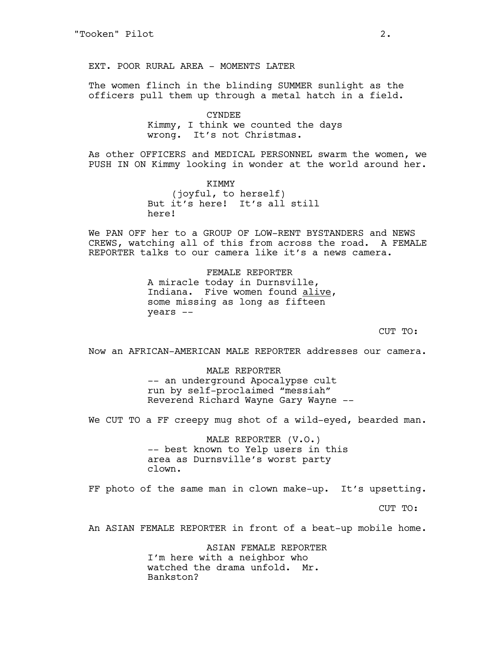EXT. POOR RURAL AREA - MOMENTS LATER

The women flinch in the blinding SUMMER sunlight as the officers pull them up through a metal hatch in a field.

> CYNDEE Kimmy, I think we counted the days wrong. It's not Christmas.

As other OFFICERS and MEDICAL PERSONNEL swarm the women, we PUSH IN ON Kimmy looking in wonder at the world around her.

> KIMMY (joyful, to herself) But it's here! It's all still here!

We PAN OFF her to a GROUP OF LOW-RENT BYSTANDERS and NEWS CREWS, watching all of this from across the road. A FEMALE REPORTER talks to our camera like it's a news camera.

> FEMALE REPORTER A miracle today in Durnsville, Indiana. Five women found alive, some missing as long as fifteen years --

> > CUT TO:

Now an AFRICAN-AMERICAN MALE REPORTER addresses our camera.

MALE REPORTER -- an underground Apocalypse cult run by self-proclaimed "messiah" Reverend Richard Wayne Gary Wayne --

We CUT TO a FF creepy mug shot of a wild-eyed, bearded man.

MALE REPORTER (V.O.) -- best known to Yelp users in this area as Durnsville's worst party clown.

FF photo of the same man in clown make-up. It's upsetting.

CUT TO:

An ASIAN FEMALE REPORTER in front of a beat-up mobile home.

ASIAN FEMALE REPORTER I'm here with a neighbor who watched the drama unfold. Mr. Bankston?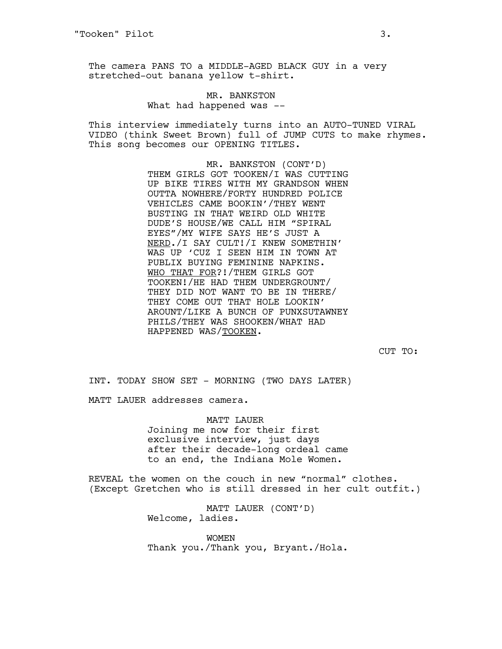The camera PANS TO a MIDDLE-AGED BLACK GUY in a very stretched-out banana yellow t-shirt.

# MR. BANKSTON What had happened was --

This interview immediately turns into an AUTO-TUNED VIRAL VIDEO (think Sweet Brown) full of JUMP CUTS to make rhymes. This song becomes our OPENING TITLES.

> MR. BANKSTON (CONT'D) THEM GIRLS GOT TOOKEN/I WAS CUTTING UP BIKE TIRES WITH MY GRANDSON WHEN OUTTA NOWHERE/FORTY HUNDRED POLICE VEHICLES CAME BOOKIN'/THEY WENT BUSTING IN THAT WEIRD OLD WHITE DUDE'S HOUSE/WE CALL HIM "SPIRAL EYES"/MY WIFE SAYS HE'S JUST A NERD./I SAY CULT!/I KNEW SOMETHIN' WAS UP 'CUZ I SEEN HIM IN TOWN AT PUBLIX BUYING FEMININE NAPKINS. WHO THAT FOR?!/THEM GIRLS GOT TOOKEN!/HE HAD THEM UNDERGROUNT/ THEY DID NOT WANT TO BE IN THERE/ THEY COME OUT THAT HOLE LOOKIN' AROUNT/LIKE A BUNCH OF PUNXSUTAWNEY PHILS/THEY WAS SHOOKEN/WHAT HAD HAPPENED WAS/TOOKEN.

> > CUT TO:

INT. TODAY SHOW SET - MORNING (TWO DAYS LATER)

MATT LAUER addresses camera.

MATT LAUER Joining me now for their first exclusive interview, just days after their decade-long ordeal came to an end, the Indiana Mole Women.

REVEAL the women on the couch in new "normal" clothes. (Except Gretchen who is still dressed in her cult outfit.)

> MATT LAUER (CONT'D) Welcome, ladies.

WOMEN Thank you./Thank you, Bryant./Hola.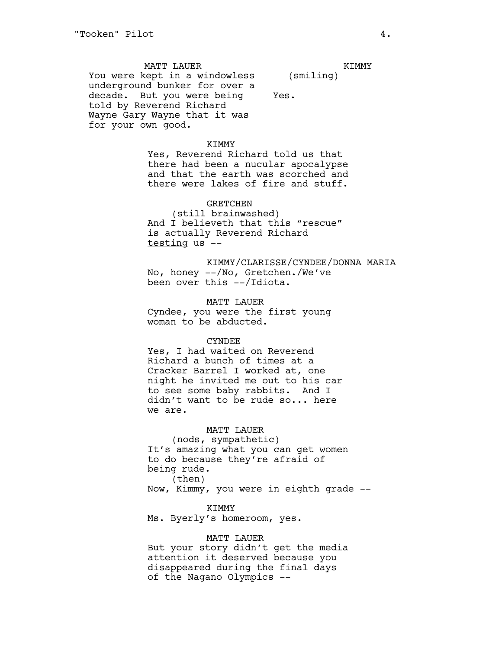MATT LAUER You were kept in a windowless underground bunker for over a decade. But you were being told by Reverend Richard Wayne Gary Wayne that it was for your own good. (smiling) Yes.

# KIMMY

Yes, Reverend Richard told us that there had been a nucular apocalypse and that the earth was scorched and there were lakes of fire and stuff.

#### GRETCHEN

(still brainwashed) And I believeth that this "rescue" is actually Reverend Richard testing us --

KIMMY/CLARISSE/CYNDEE/DONNA MARIA No, honey --/No, Gretchen./We've been over this --/Idiota.

MATT LAUER Cyndee, you were the first young woman to be abducted.

#### CYNDEE

Yes, I had waited on Reverend Richard a bunch of times at a Cracker Barrel I worked at, one night he invited me out to his car to see some baby rabbits. And I didn't want to be rude so... here we are.

# MATT LAUER

(nods, sympathetic) It's amazing what you can get women to do because they're afraid of being rude. (then)

Now, Kimmy, you were in eighth grade --

#### KIMMY

Ms. Byerly's homeroom, yes.

#### MATT LAUER

But your story didn't get the media attention it deserved because you disappeared during the final days of the Nagano Olympics --

KIMMY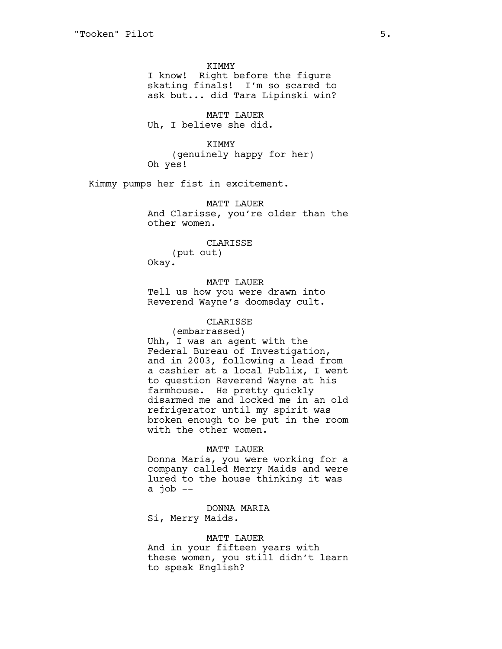KIMMY I know! Right before the figure skating finals! I'm so scared to ask but... did Tara Lipinski win?

MATT LAUER Uh, I believe she did.

KIMMY (genuinely happy for her) Oh yes!

Kimmy pumps her fist in excitement.

MATT LAUER And Clarisse, you're older than the other women.

> CLARISSE (put out)

Okay.

MATT LAUER Tell us how you were drawn into

Reverend Wayne's doomsday cult.

# CLARISSE

(embarrassed) Uhh, I was an agent with the Federal Bureau of Investigation, and in 2003, following a lead from a cashier at a local Publix, I went to question Reverend Wayne at his farmhouse. He pretty quickly disarmed me and locked me in an old refrigerator until my spirit was broken enough to be put in the room with the other women.

#### MATT LAUER

Donna Maria, you were working for a company called Merry Maids and were lured to the house thinking it was a  $\overline{\text{job}}$  --

DONNA MARIA

Si, Merry Maids.

# MATT LAUER

And in your fifteen years with these women, you still didn't learn to speak English?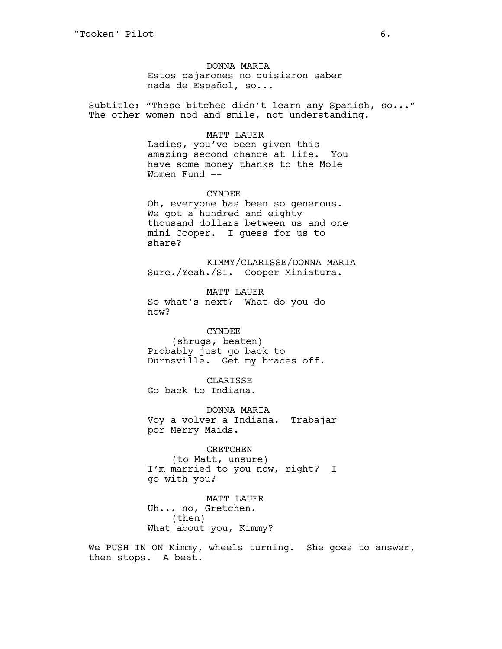DONNA MARIA Estos pajarones no quisieron saber nada de Español, so...

Subtitle: "These bitches didn't learn any Spanish, so..." The other women nod and smile, not understanding.

# MATT LAUER

Ladies, you've been given this amazing second chance at life. You have some money thanks to the Mole Women Fund --

CYNDEE Oh, everyone has been so generous. We got a hundred and eighty thousand dollars between us and one mini Cooper. I guess for us to share?

KIMMY/CLARISSE/DONNA MARIA Sure./Yeah./Si. Cooper Miniatura.

MATT LAUER So what's next? What do you do now?

CYNDEE (shrugs, beaten) Probably just go back to Durnsville. Get my braces off.

CLARISSE Go back to Indiana.

DONNA MARIA Voy a volver a Indiana. Trabajar por Merry Maids.

#### GRETCHEN

(to Matt, unsure) I'm married to you now, right? I go with you?

MATT LAUER Uh... no, Gretchen. (then) What about you, Kimmy?

We PUSH IN ON Kimmy, wheels turning. She goes to answer, then stops. A beat.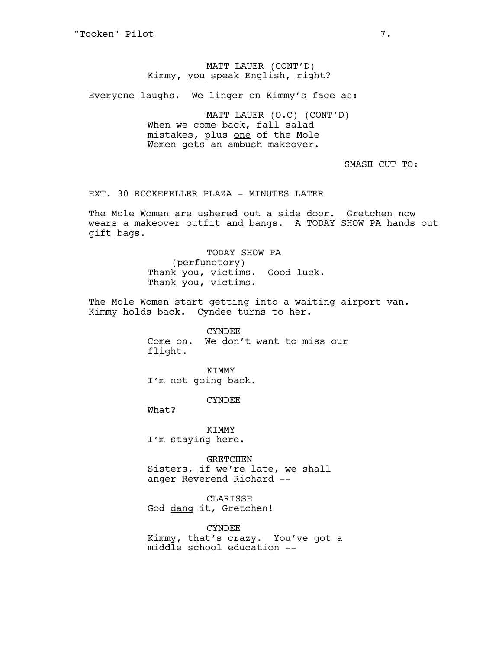# MATT LAUER (CONT'D) Kimmy, you speak English, right?

Everyone laughs. We linger on Kimmy's face as:

MATT LAUER (O.C) (CONT'D) When we come back, fall salad mistakes, plus one of the Mole Women gets an ambush makeover.

# SMASH CUT TO:

EXT. 30 ROCKEFELLER PLAZA - MINUTES LATER

The Mole Women are ushered out a side door. Gretchen now wears a makeover outfit and bangs. A TODAY SHOW PA hands out gift bags.

> TODAY SHOW PA (perfunctory) Thank you, victims. Good luck. Thank you, victims.

The Mole Women start getting into a waiting airport van. Kimmy holds back. Cyndee turns to her.

> CYNDEE Come on. We don't want to miss our flight.

KIMMY I'm not going back.

CYNDEE

What?

KIMMY I'm staying here.

GRETCHEN Sisters, if we're late, we shall anger Reverend Richard --

CLARISSE God dang it, Gretchen!

CYNDEE Kimmy, that's crazy. You've got a middle school education --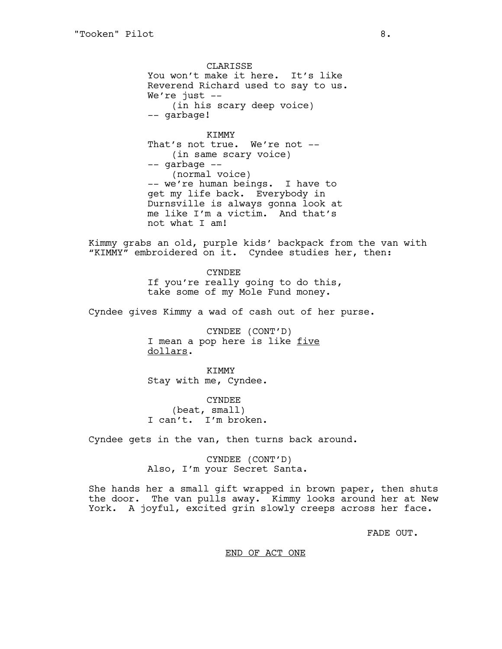**CLARISSE** You won't make it here. It's like Reverend Richard used to say to us. We're just --(in his scary deep voice) -- garbage!

KIMMY That's not true. We're not -- (in same scary voice) -- garbage -- (normal voice) -- we're human beings. I have to get my life back. Everybody in Durnsville is always gonna look at me like I'm a victim. And that's not what I am!

Kimmy grabs an old, purple kids' backpack from the van with "KIMMY" embroidered on it. Cyndee studies her, then:

> CYNDEE If you're really going to do this, take some of my Mole Fund money.

Cyndee gives Kimmy a wad of cash out of her purse.

CYNDEE (CONT'D) I mean a pop here is like five dollars.

KIMMY Stay with me, Cyndee.

CYNDEE (beat, small) I can't. I'm broken.

Cyndee gets in the van, then turns back around.

CYNDEE (CONT'D) Also, I'm your Secret Santa.

She hands her a small gift wrapped in brown paper, then shuts the door. The van pulls away. Kimmy looks around her at New York. A joyful, excited grin slowly creeps across her face.

FADE OUT.

### END OF ACT ONE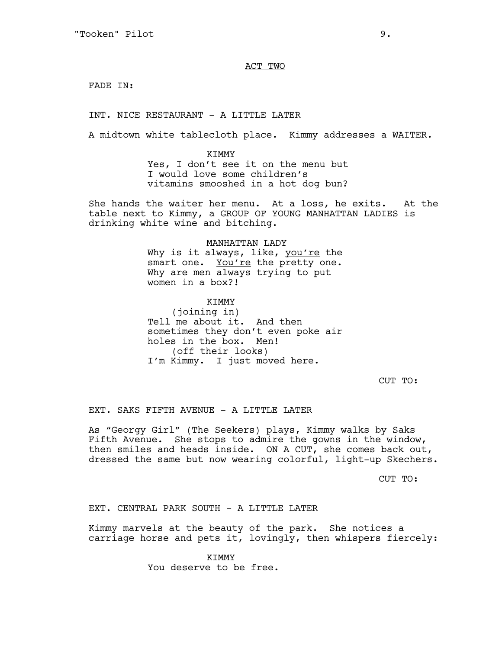ACT TWO

FADE IN:

INT. NICE RESTAURANT - A LITTLE LATER

A midtown white tablecloth place. Kimmy addresses a WAITER.

KIMMY Yes, I don't see it on the menu but I would love some children's vitamins smooshed in a hot dog bun?

She hands the waiter her menu. At a loss, he exits. At the table next to Kimmy, a GROUP OF YOUNG MANHATTAN LADIES is drinking white wine and bitching.

### MANHATTAN LADY

Why is it always, like, you're the smart one. You're the pretty one. Why are men always trying to put women in a box?!

KIMMY

(joining in) Tell me about it. And then sometimes they don't even poke air holes in the box. Men! (off their looks) I'm Kimmy. I just moved here.

CUT TO:

EXT. SAKS FIFTH AVENUE - A LITTLE LATER

As "Georgy Girl" (The Seekers) plays, Kimmy walks by Saks Fifth Avenue. She stops to admire the gowns in the window, then smiles and heads inside. ON A CUT, she comes back out, dressed the same but now wearing colorful, light-up Skechers.

CUT TO:

EXT. CENTRAL PARK SOUTH - A LITTLE LATER

Kimmy marvels at the beauty of the park. She notices a carriage horse and pets it, lovingly, then whispers fiercely:

> KIMMY You deserve to be free.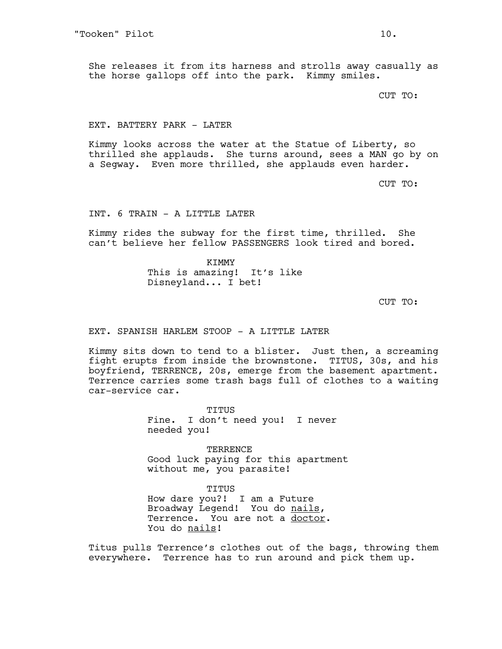She releases it from its harness and strolls away casually as the horse gallops off into the park. Kimmy smiles.

CUT TO:

#### EXT. BATTERY PARK - LATER

Kimmy looks across the water at the Statue of Liberty, so thrilled she applauds. She turns around, sees a MAN go by on a Segway. Even more thrilled, she applauds even harder.

CUT TO:

INT. 6 TRAIN - A LITTLE LATER

Kimmy rides the subway for the first time, thrilled. She can't believe her fellow PASSENGERS look tired and bored.

> KIMMY This is amazing! It's like Disneyland... I bet!

> > CUT TO:

EXT. SPANISH HARLEM STOOP - A LITTLE LATER

Kimmy sits down to tend to a blister. Just then, a screaming fight erupts from inside the brownstone. TITUS, 30s, and his boyfriend, TERRENCE, 20s, emerge from the basement apartment. Terrence carries some trash bags full of clothes to a waiting car-service car.

> TITUS Fine. I don't need you! I never needed you!

TERRENCE Good luck paying for this apartment without me, you parasite!

TITUS How dare you?! I am a Future Broadway Legend! You do nails, Terrence. You are not a doctor. You do nails!

Titus pulls Terrence's clothes out of the bags, throwing them everywhere. Terrence has to run around and pick them up.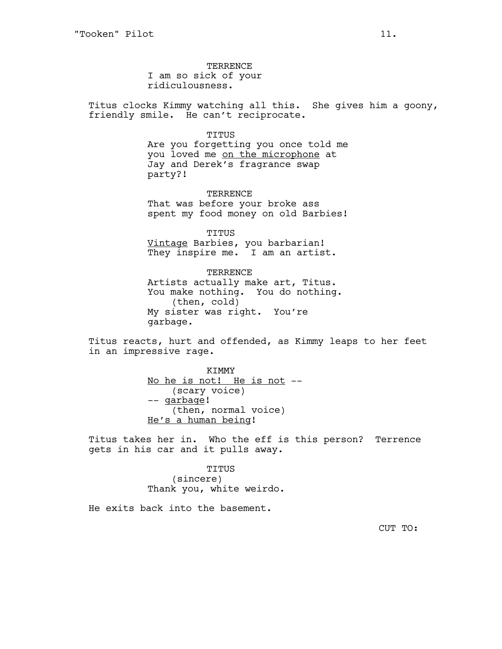TERRENCE I am so sick of your ridiculousness.

Titus clocks Kimmy watching all this. She gives him a goony, friendly smile. He can't reciprocate.

TITUS

Are you forgetting you once told me you loved me on the microphone at Jay and Derek's fragrance swap party?!

TERRENCE That was before your broke ass spent my food money on old Barbies!

TITUS Vintage Barbies, you barbarian! They inspire me. I am an artist.

TERRENCE Artists actually make art, Titus. You make nothing. You do nothing. (then, cold) My sister was right. You're garbage.

Titus reacts, hurt and offended, as Kimmy leaps to her feet in an impressive rage.

> KIMMY No he is not! He is not -- (scary voice) -- garbage! (then, normal voice) He's a human being!

Titus takes her in. Who the eff is this person? Terrence gets in his car and it pulls away.

> TITUS (sincere) Thank you, white weirdo.

He exits back into the basement.

CUT TO: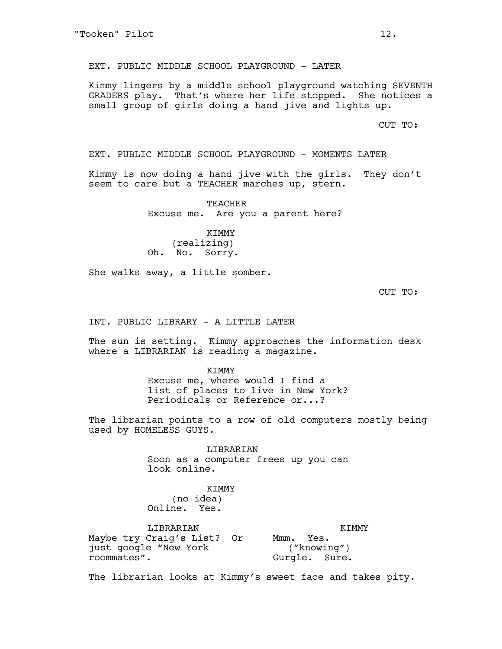EXT. PUBLIC MIDDLE SCHOOL PLAYGROUND - LATER

Kimmy lingers by a middle school playground watching SEVENTH GRADERS play. That's where her life stopped. She notices a small group of girls doing a hand jive and lights up.

CUT TO:

EXT. PUBLIC MIDDLE SCHOOL PLAYGROUND - MOMENTS LATER

Kimmy is now doing a hand jive with the girls. They don't seem to care but a TEACHER marches up, stern.

> TEACHER Excuse me. Are you a parent here?

KIMMY (realizing) Oh. No. Sorry.

She walks away, a little somber.

CUT TO:

INT. PUBLIC LIBRARY - A LITTLE LATER

The sun is setting. Kimmy approaches the information desk where a LIBRARIAN is reading a magazine.

> KIMMY Excuse me, where would I find a list of places to live in New York? Periodicals or Reference or...?

The librarian points to a row of old computers mostly being used by HOMELESS GUYS.

> LIBRARIAN Soon as a computer frees up you can look online.

# KIMMY

(no idea) Online. Yes.

LIBRARIAN Maybe try Craig's List? Or just google "New York roommates". KIMMY Mmm. Yes. ("knowing") Gurgle. Sure.

The librarian looks at Kimmy's sweet face and takes pity.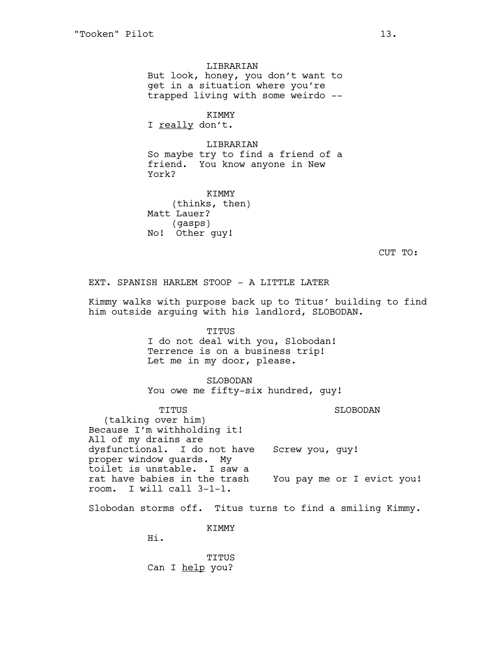LIBRARIAN But look, honey, you don't want to get in a situation where you're trapped living with some weirdo --

KIMMY

I really don't.

LIBRARIAN So maybe try to find a friend of a friend. You know anyone in New York?

KIMMY (thinks, then) Matt Lauer? (gasps) No! Other guy!

CUT TO:

EXT. SPANISH HARLEM STOOP - A LITTLE LATER

Kimmy walks with purpose back up to Titus' building to find him outside arguing with his landlord, SLOBODAN.

> TITUS I do not deal with you, Slobodan! Terrence is on a business trip! Let me in my door, please.

SLOBODAN You owe me fifty-six hundred, guy!

TITUS (talking over him) Because I'm withholding it! All of my drains are dysfunctional. I do not have proper window guards. My toilet is unstable. I saw a rat have babies in the trash room. I will call 3-1-1. SLOBODAN Screw you, guy! You pay me or I evict you!

Slobodan storms off. Titus turns to find a smiling Kimmy.

KIMMY

Hi.

TITUS Can I help you?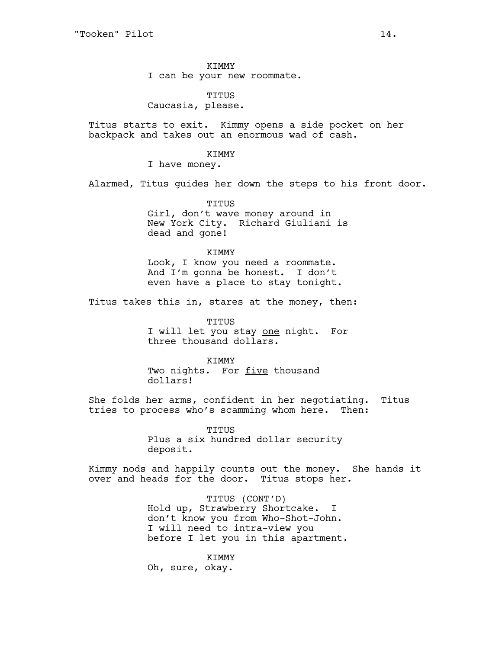KIMMY I can be your new roommate.

TITUS Caucasia, please.

Titus starts to exit. Kimmy opens a side pocket on her backpack and takes out an enormous wad of cash.

# KIMMY

I have money.

Alarmed, Titus guides her down the steps to his front door.

TITUS Girl, don't wave money around in New York City. Richard Giuliani is dead and gone!

## KIMMY

Look, I know you need a roommate. And I'm gonna be honest. I don't even have a place to stay tonight.

Titus takes this in, stares at the money, then:

TITUS I will let you stay one night. For three thousand dollars.

#### KIMMY

Two nights. For five thousand dollars!

She folds her arms, confident in her negotiating. Titus tries to process who's scamming whom here. Then:

> TITUS Plus a six hundred dollar security deposit.

Kimmy nods and happily counts out the money. She hands it over and heads for the door. Titus stops her.

> TITUS (CONT'D) Hold up, Strawberry Shortcake. I don't know you from Who-Shot-John. I will need to intra-view you before I let you in this apartment.

KIMMY Oh, sure, okay.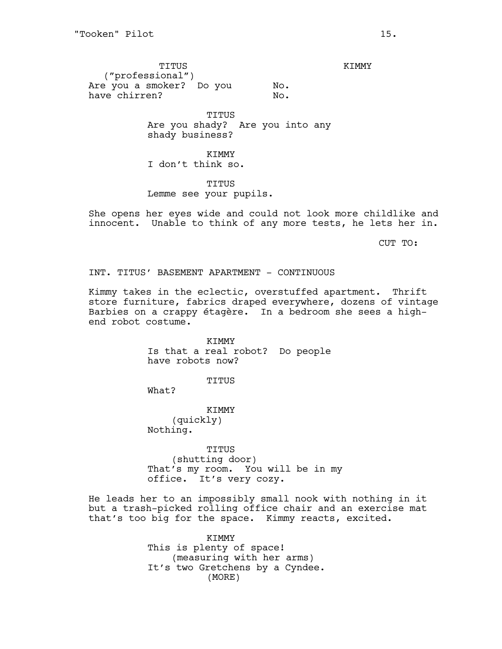TITUS ("professional") Are you a smoker? Do you have chirren? No. No.

TITUS Are you shady? Are you into any shady business?

KIMMY I don't think so.

TITUS Lemme see your pupils.

She opens her eyes wide and could not look more childlike and innocent. Unable to think of any more tests, he lets her in.

CUT TO:

INT. TITUS' BASEMENT APARTMENT - CONTINUOUS

Kimmy takes in the eclectic, overstuffed apartment. Thrift store furniture, fabrics draped everywhere, dozens of vintage Barbies on a crappy étagère. In a bedroom she sees a highend robot costume.

> KIMMY Is that a real robot? Do people have robots now?

> > TITUS

What?

KIMMY (quickly) Nothing.

TITUS (shutting door) That's my room. You will be in my office. It's very cozy.

He leads her to an impossibly small nook with nothing in it but a trash-picked rolling office chair and an exercise mat that's too big for the space. Kimmy reacts, excited.

> KIMMY This is plenty of space! (measuring with her arms) It's two Gretchens by a Cyndee. (MORE)

KIMMY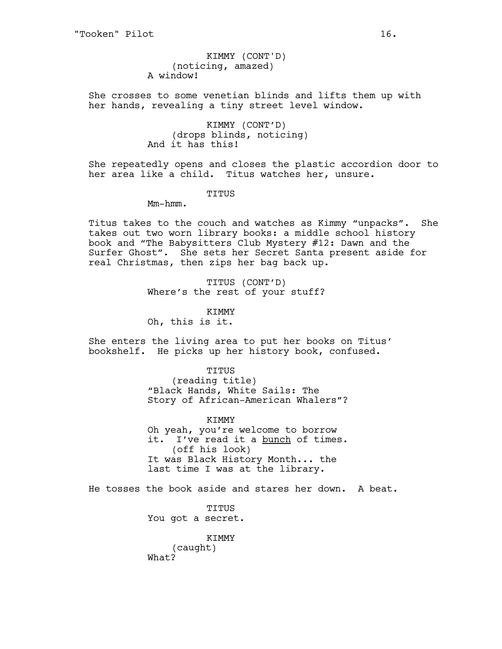(noticing, amazed) A window! KIMMY (CONT'D)

She crosses to some venetian blinds and lifts them up with her hands, revealing a tiny street level window.

> KIMMY (CONT'D) (drops blinds, noticing) And it has this!

She repeatedly opens and closes the plastic accordion door to her area like a child. Titus watches her, unsure.

TITUS

Mm-hmm.

Titus takes to the couch and watches as Kimmy "unpacks". She takes out two worn library books: a middle school history book and "The Babysitters Club Mystery #12: Dawn and the Surfer Ghost". She sets her Secret Santa present aside for real Christmas, then zips her bag back up.

> TITUS (CONT'D) Where's the rest of your stuff?

KIMMY Oh, this is it.

She enters the living area to put her books on Titus' bookshelf. He picks up her history book, confused.

> TITUS (reading title) "Black Hands, White Sails: The Story of African-American Whalers"?

> KIMMY Oh yeah, you're welcome to borrow it. I've read it a bunch of times. (off his look) It was Black History Month... the last time I was at the library.

He tosses the book aside and stares her down. A beat.

TITUS You got a secret.

KIMMY (caught) What?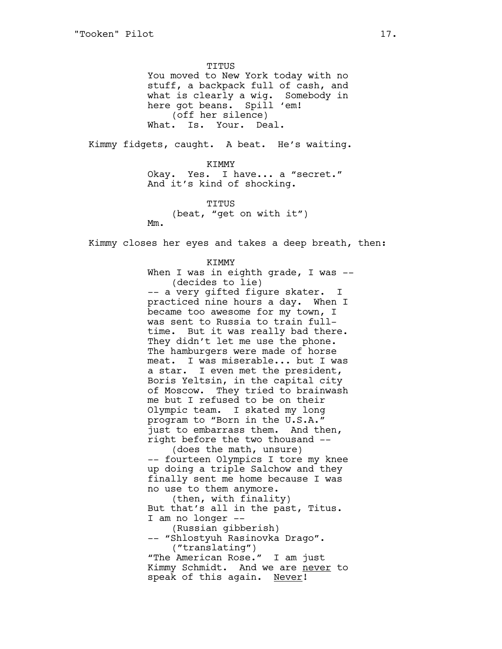TITUS You moved to New York today with no stuff, a backpack full of cash, and what is clearly a wig. Somebody in here got beans. Spill 'em! (off her silence) What. Is. Your. Deal.

Kimmy fidgets, caught. A beat. He's waiting.

KIMMY Okay. Yes. I have... a "secret." And it's kind of shocking.

TITUS (beat, "get on with it") Mm.

Kimmy closes her eyes and takes a deep breath, then:

KIMMY When I was in eighth grade, I was --(decides to lie) -- a very gifted figure skater. I practiced nine hours a day. When I became too awesome for my town, I was sent to Russia to train fulltime. But it was really bad there. They didn't let me use the phone. The hamburgers were made of horse meat. I was miserable... but I was a star. I even met the president, Boris Yeltsin, in the capital city of Moscow. They tried to brainwash me but I refused to be on their Olympic team. I skated my long program to "Born in the U.S.A." just to embarrass them. And then, right before the two thousand -- (does the math, unsure) -- fourteen Olympics I tore my knee up doing a triple Salchow and they finally sent me home because I was no use to them anymore. (then, with finality) But that's all in the past, Titus. I am no longer -- (Russian gibberish) -- "Shlostyuh Rasinovka Drago". ("translating") "The American Rose." I am just Kimmy Schmidt. And we are never to speak of this again. Never!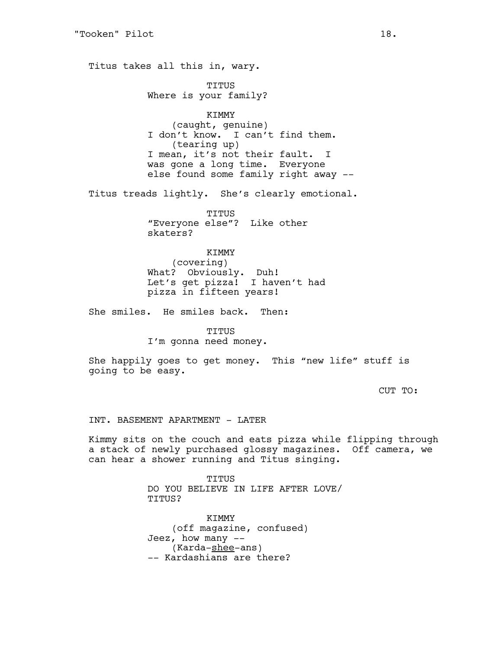Titus takes all this in, wary.

TITUS Where is your family?

KIMMY (caught, genuine) I don't know. I can't find them. (tearing up) I mean, it's not their fault. I was gone a long time. Everyone else found some family right away --

Titus treads lightly. She's clearly emotional.

TITUS "Everyone else"? Like other skaters?

KIMMY (covering) What? Obviously. Duh! Let's get pizza! I haven't had pizza in fifteen years!

She smiles. He smiles back. Then:

TITUS

I'm gonna need money.

She happily goes to get money. This "new life" stuff is going to be easy.

CUT TO:

INT. BASEMENT APARTMENT - LATER

Kimmy sits on the couch and eats pizza while flipping through a stack of newly purchased glossy magazines. Off camera, we can hear a shower running and Titus singing.

> TITUS DO YOU BELIEVE IN LIFE AFTER LOVE/ TITUS?

KIMMY (off magazine, confused) Jeez, how many  $--$ (Karda-shee-ans) -- Kardashians are there?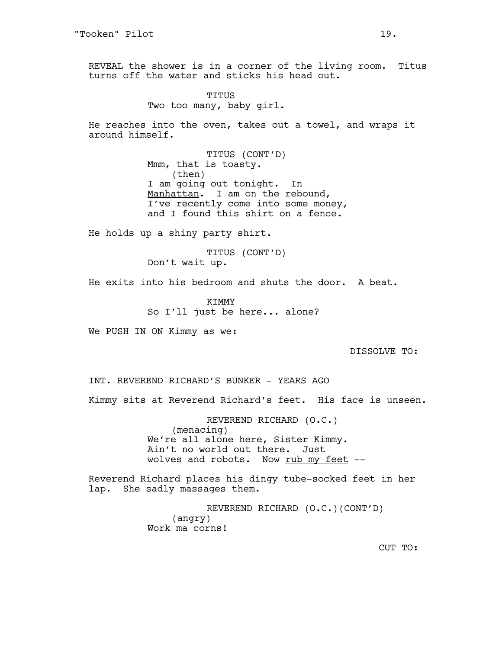REVEAL the shower is in a corner of the living room. Titus turns off the water and sticks his head out.

> TITUS Two too many, baby girl.

He reaches into the oven, takes out a towel, and wraps it around himself.

> TITUS (CONT'D) Mmm, that is toasty. (then) I am going out tonight. In Manhattan. I am on the rebound, I've recently come into some money, and I found this shirt on a fence.

He holds up a shiny party shirt.

TITUS (CONT'D) Don't wait up.

He exits into his bedroom and shuts the door. A beat.

KIMMY So I'll just be here... alone?

We PUSH IN ON Kimmy as we:

DISSOLVE TO:

INT. REVEREND RICHARD'S BUNKER - YEARS AGO

Kimmy sits at Reverend Richard's feet. His face is unseen.

REVEREND RICHARD (O.C.) (menacing) We're all alone here, Sister Kimmy. Ain't no world out there. Just wolves and robots. Now rub my feet --

Reverend Richard places his dingy tube-socked feet in her lap. She sadly massages them.

> REVEREND RICHARD (O.C.)(CONT'D) (angry) Work ma corns!

> > CUT TO: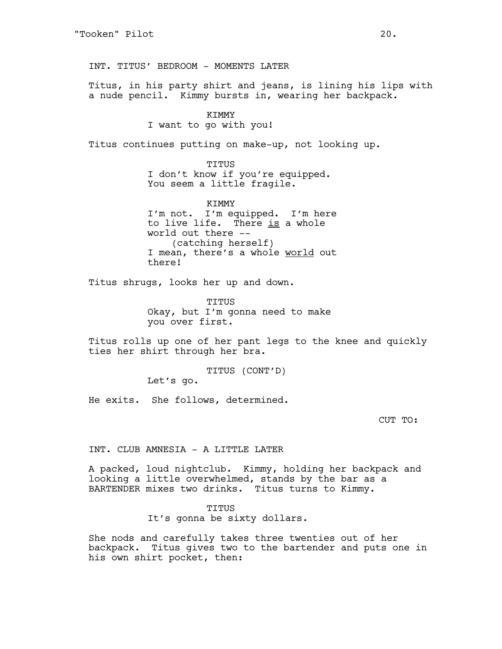INT. TITUS' BEDROOM - MOMENTS LATER

Titus, in his party shirt and jeans, is lining his lips with a nude pencil. Kimmy bursts in, wearing her backpack.

# **KTMMY**

# I want to go with you!

Titus continues putting on make-up, not looking up.

TITUS I don't know if you're equipped. You seem a little fragile.

KIMMY I'm not. I'm equipped. I'm here to live life. There is a whole world out there -- (catching herself) I mean, there's a whole world out there!

Titus shrugs, looks her up and down.

TITUS Okay, but I'm gonna need to make you over first.

Titus rolls up one of her pant legs to the knee and quickly ties her shirt through her bra.

> TITUS (CONT'D) Let's go.

He exits. She follows, determined.

CUT TO:

INT. CLUB AMNESIA - A LITTLE LATER

A packed, loud nightclub. Kimmy, holding her backpack and looking a little overwhelmed, stands by the bar as a BARTENDER mixes two drinks. Titus turns to Kimmy.

TITUS

It's gonna be sixty dollars.

She nods and carefully takes three twenties out of her backpack. Titus gives two to the bartender and puts one in his own shirt pocket, then: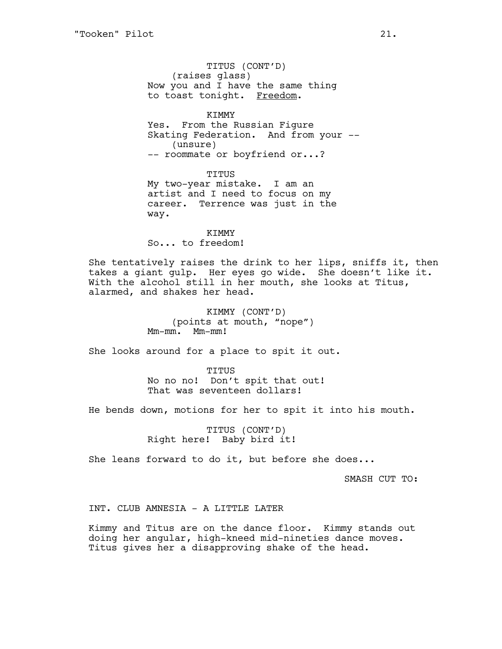TITUS (CONT'D) (raises glass) Now you and I have the same thing to toast tonight. Freedom.

**KTMMY** Yes. From the Russian Figure Skating Federation. And from your -- (unsure) -- roommate or boyfriend or...?

TITUS My two-year mistake. I am an artist and I need to focus on my career. Terrence was just in the way.

KIMMY So... to freedom!

She tentatively raises the drink to her lips, sniffs it, then takes a giant gulp. Her eyes go wide. She doesn't like it. With the alcohol still in her mouth, she looks at Titus, alarmed, and shakes her head.

> KIMMY (CONT'D) (points at mouth, "nope") Mm-mm. Mm-mm!

She looks around for a place to spit it out.

TITUS No no no! Don't spit that out! That was seventeen dollars!

He bends down, motions for her to spit it into his mouth.

TITUS (CONT'D) Right here! Baby bird it!

She leans forward to do it, but before she does...

SMASH CUT TO:

INT. CLUB AMNESIA - A LITTLE LATER

Kimmy and Titus are on the dance floor. Kimmy stands out doing her angular, high-kneed mid-nineties dance moves. Titus gives her a disapproving shake of the head.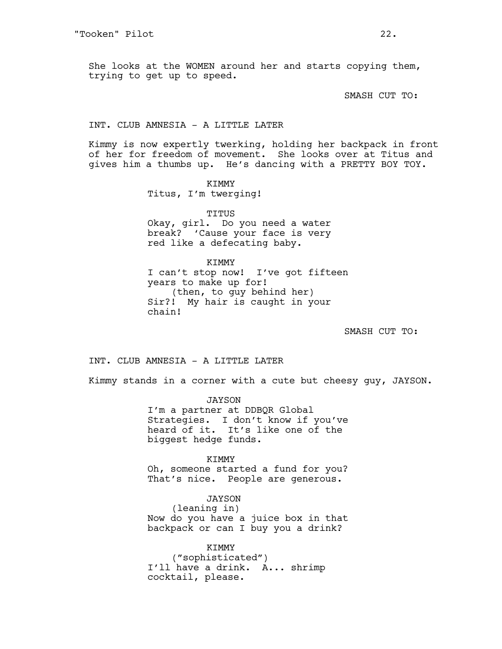She looks at the WOMEN around her and starts copying them, trying to get up to speed.

SMASH CUT TO:

### INT. CLUB AMNESIA - A LITTLE LATER

Kimmy is now expertly twerking, holding her backpack in front of her for freedom of movement. She looks over at Titus and gives him a thumbs up. He's dancing with a PRETTY BOY TOY.

# KIMMY

Titus, I'm twerging!

TITUS

Okay, girl. Do you need a water break? 'Cause your face is very red like a defecating baby.

KIMMY I can't stop now! I've got fifteen years to make up for! (then, to guy behind her) Sir?! My hair is caught in your chain!

SMASH CUT TO:

INT. CLUB AMNESIA - A LITTLE LATER

Kimmy stands in a corner with a cute but cheesy guy, JAYSON.

JAYSON I'm a partner at DDBQR Global Strategies. I don't know if you've heard of it. It's like one of the biggest hedge funds.

KIMMY Oh, someone started a fund for you? That's nice. People are generous.

JAYSON (leaning in) Now do you have a juice box in that backpack or can I buy you a drink?

KIMMY ("sophisticated") I'll have a drink. A... shrimp cocktail, please.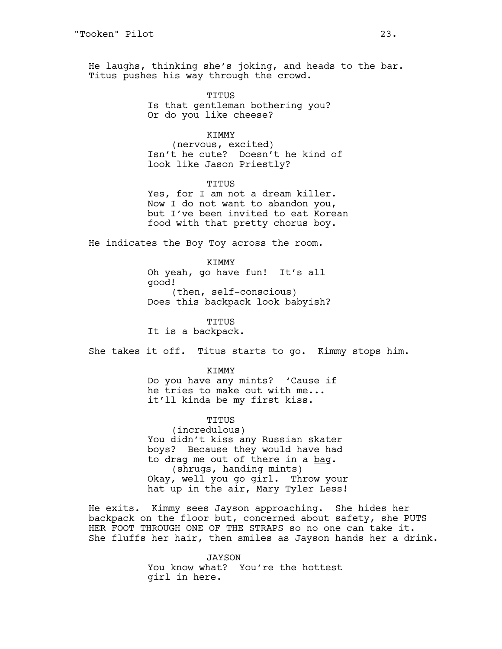He laughs, thinking she's joking, and heads to the bar. Titus pushes his way through the crowd.

> TITUS Is that gentleman bothering you? Or do you like cheese?

## KIMMY

(nervous, excited) Isn't he cute? Doesn't he kind of look like Jason Priestly?

#### TITUS

Yes, for I am not a dream killer. Now I do not want to abandon you, but I've been invited to eat Korean food with that pretty chorus boy.

He indicates the Boy Toy across the room.

KIMMY Oh yeah, go have fun! It's all good! (then, self-conscious) Does this backpack look babyish?

TITUS

It is a backpack.

She takes it off. Titus starts to go. Kimmy stops him.

#### KIMMY

Do you have any mints? 'Cause if he tries to make out with me... it'll kinda be my first kiss.

#### TITUS

(incredulous) You didn't kiss any Russian skater boys? Because they would have had to drag me out of there in a bag. (shrugs, handing mints) Okay, well you go girl. Throw your hat up in the air, Mary Tyler Less!

He exits. Kimmy sees Jayson approaching. She hides her backpack on the floor but, concerned about safety, she PUTS HER FOOT THROUGH ONE OF THE STRAPS so no one can take it. She fluffs her hair, then smiles as Jayson hands her a drink.

> JAYSON You know what? You're the hottest girl in here.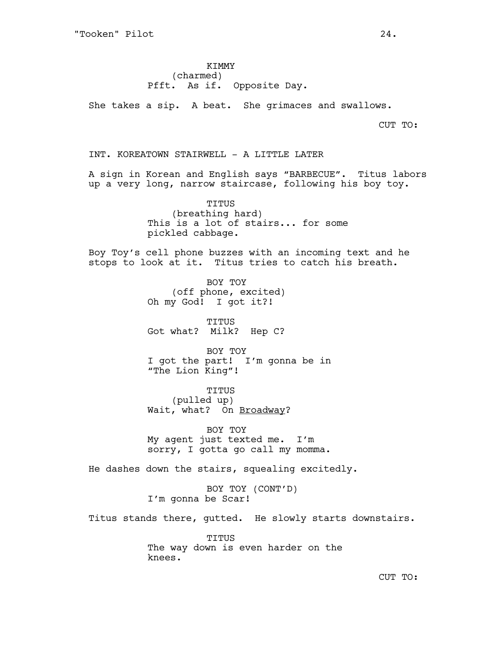KIMMY (charmed) Pfft. As if. Opposite Day.

She takes a sip. A beat. She grimaces and swallows.

CUT TO:

INT. KOREATOWN STAIRWELL - A LITTLE LATER

A sign in Korean and English says "BARBECUE". Titus labors up a very long, narrow staircase, following his boy toy.

> TITUS (breathing hard) This is a lot of stairs... for some pickled cabbage.

Boy Toy's cell phone buzzes with an incoming text and he stops to look at it. Titus tries to catch his breath.

> BOY TOY (off phone, excited) Oh my God! I got it?!

TITUS Got what? Milk? Hep C?

BOY TOY I got the part! I'm gonna be in "The Lion King"!

TITUS

(pulled up) Wait, what? On Broadway?

BOY TOY My agent just texted me. I'm sorry, I gotta go call my momma.

He dashes down the stairs, squealing excitedly.

BOY TOY (CONT'D) I'm gonna be Scar!

Titus stands there, gutted. He slowly starts downstairs.

TITUS The way down is even harder on the knees.

CUT TO: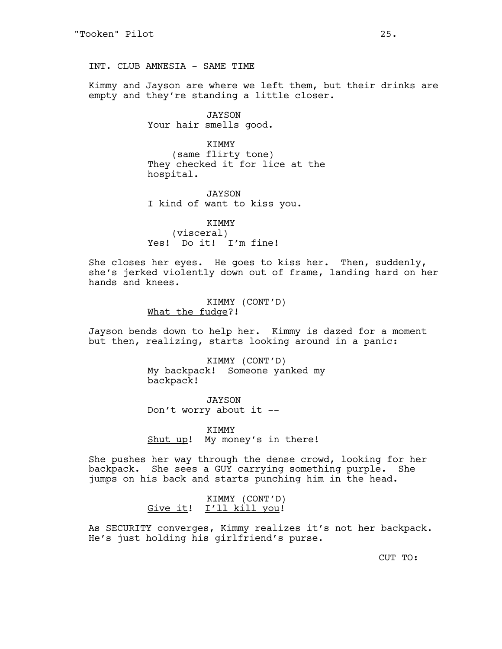INT. CLUB AMNESIA - SAME TIME

Kimmy and Jayson are where we left them, but their drinks are empty and they're standing a little closer.

> JAYSON Your hair smells good.

KIMMY (same flirty tone) They checked it for lice at the hospital.

JAYSON I kind of want to kiss you.

KIMMY (visceral) Yes! Do it! I'm fine!

She closes her eyes. He goes to kiss her. Then, suddenly, she's jerked violently down out of frame, landing hard on her hands and knees.

> KIMMY (CONT'D) What the fudge?!

Jayson bends down to help her. Kimmy is dazed for a moment but then, realizing, starts looking around in a panic:

> KIMMY (CONT'D) My backpack! Someone yanked my backpack!

JAYSON Don't worry about it --

KIMMY Shut up! My money's in there!

She pushes her way through the dense crowd, looking for her backpack. She sees a GUY carrying something purple. She jumps on his back and starts punching him in the head.

> KIMMY (CONT'D) Give it! I'll kill you!

As SECURITY converges, Kimmy realizes it's not her backpack. He's just holding his girlfriend's purse.

CUT TO: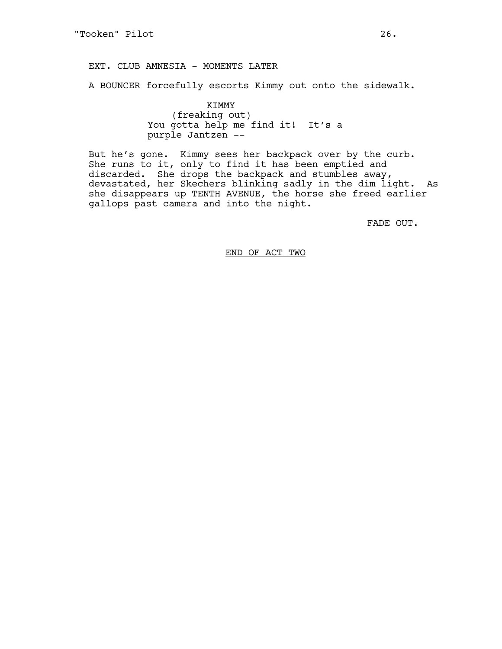EXT. CLUB AMNESIA - MOMENTS LATER

A BOUNCER forcefully escorts Kimmy out onto the sidewalk.

KIMMY (freaking out) You gotta help me find it! It's a purple Jantzen --

But he's gone. Kimmy sees her backpack over by the curb. She runs to it, only to find it has been emptied and discarded. She drops the backpack and stumbles away, devastated, her Skechers blinking sadly in the dim light. As she disappears up TENTH AVENUE, the horse she freed earlier gallops past camera and into the night.

FADE OUT.

END OF ACT TWO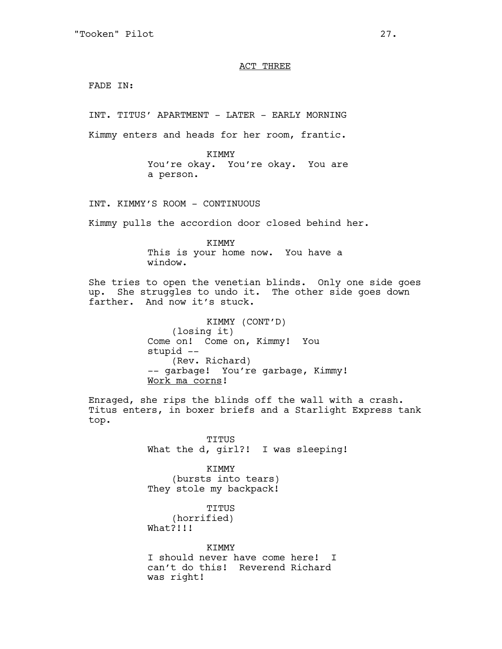### ACT THREE

FADE IN:

INT. TITUS' APARTMENT - LATER - EARLY MORNING

Kimmy enters and heads for her room, frantic.

KIMMY You're okay. You're okay. You are a person.

INT. KIMMY'S ROOM - CONTINUOUS

Kimmy pulls the accordion door closed behind her.

KIMMY This is your home now. You have a window.

She tries to open the venetian blinds. Only one side goes up. She struggles to undo it. The other side goes down farther. And now it's stuck.

> KIMMY (CONT'D) (losing it) Come on! Come on, Kimmy! You stupid -- (Rev. Richard) -- garbage! You're garbage, Kimmy! Work ma corns!

Enraged, she rips the blinds off the wall with a crash. Titus enters, in boxer briefs and a Starlight Express tank top.

> TITUS What the d, girl?! I was sleeping!

KIMMY (bursts into tears) They stole my backpack!

TITUS (horrified) What?!!!

KTMMY I should never have come here! I can't do this! Reverend Richard was right!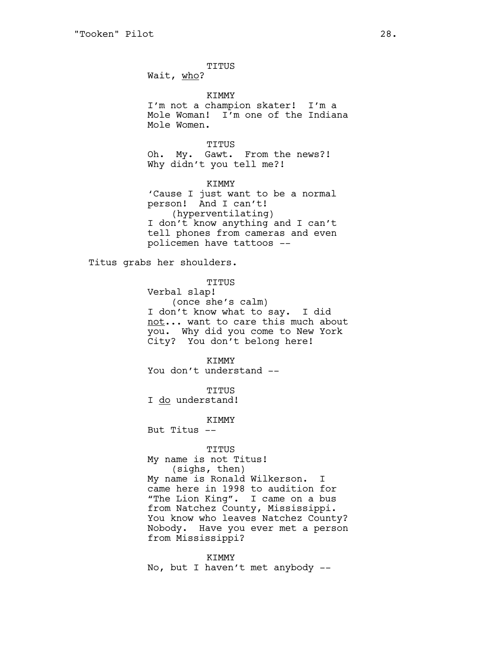TITUS

Wait, who?

KIMMY I'm not a champion skater! I'm a Mole Woman! I'm one of the Indiana Mole Women.

TITUS

Oh. My. Gawt. From the news?! Why didn't you tell me?!

KIMMY 'Cause I just want to be a normal person! And I can't! (hyperventilating) I don't know anything and I can't tell phones from cameras and even policemen have tattoos --

Titus grabs her shoulders.

TITUS

Verbal slap! (once she's calm) I don't know what to say. I did not... want to care this much about you. Why did you come to New York City? You don't belong here!

KIMMY You don't understand --

TITUS I do understand!

KIMMY

But Titus --

TITUS My name is not Titus! (sighs, then) My name is Ronald Wilkerson. I came here in 1998 to audition for "The Lion King". I came on a bus from Natchez County, Mississippi. You know who leaves Natchez County? Nobody. Have you ever met a person from Mississippi?

KIMMY No, but I haven't met anybody --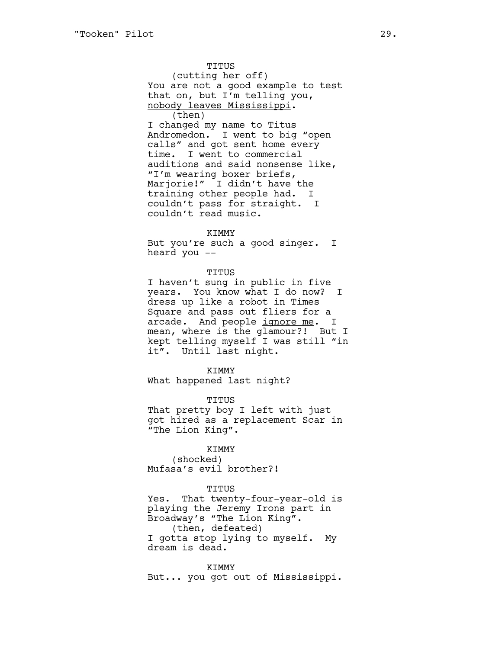TITUS (cutting her off) You are not a good example to test that on, but I'm telling you, nobody leaves Mississippi. (then) I changed my name to Titus Andromedon. I went to big "open calls" and got sent home every time. I went to commercial auditions and said nonsense like, "I'm wearing boxer briefs, Marjorie!" I didn't have the training other people had. I couldn't pass for straight. I couldn't read music.

#### KIMMY

But you're such a good singer. I heard you --

#### TITUS

I haven't sung in public in five years. You know what I do now? I dress up like a robot in Times Square and pass out fliers for a arcade. And people ignore me. I mean, where is the glamour?! But I kept telling myself I was still "in it". Until last night.

#### KIMMY

What happened last night?

#### TITUS

That pretty boy I left with just got hired as a replacement Scar in "The Lion King".

#### KIMMY

(shocked) Mufasa's evil brother?!

#### TITUS

Yes. That twenty-four-year-old is playing the Jeremy Irons part in Broadway's "The Lion King". (then, defeated) I gotta stop lying to myself. My dream is dead.

KIMMY But... you got out of Mississippi.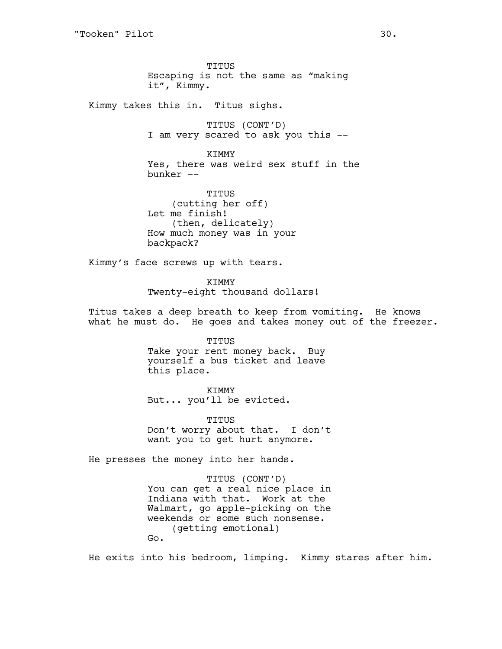TITUS Escaping is not the same as "making it", Kimmy.

Kimmy takes this in. Titus sighs.

TITUS (CONT'D) I am very scared to ask you this --

KIMMY Yes, there was weird sex stuff in the bunker --

TITUS (cutting her off) Let me finish! (then, delicately) How much money was in your backpack?

Kimmy's face screws up with tears.

KIMMY Twenty-eight thousand dollars!

Titus takes a deep breath to keep from vomiting. He knows what he must do. He goes and takes money out of the freezer.

> TITUS Take your rent money back. Buy yourself a bus ticket and leave this place.

> > KIMMY

But... you'll be evicted.

TITUS Don't worry about that. I don't want you to get hurt anymore.

He presses the money into her hands.

TITUS (CONT'D) You can get a real nice place in Indiana with that. Work at the Walmart, go apple-picking on the weekends or some such nonsense. (getting emotional) Go.

He exits into his bedroom, limping. Kimmy stares after him.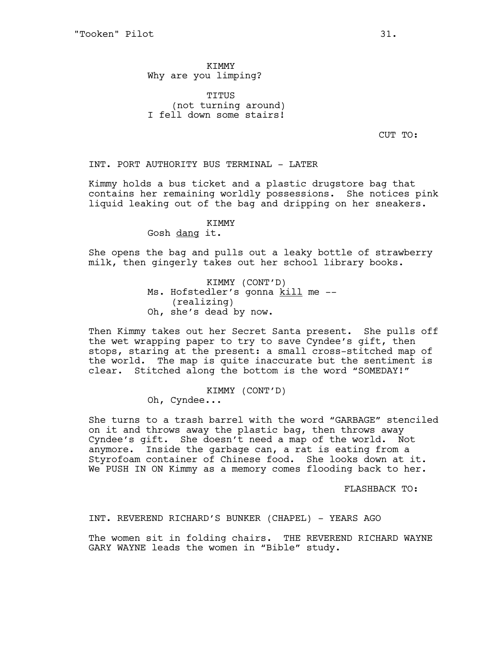**KTMMY** Why are you limping?

TITUS (not turning around) I fell down some stairs!

CUT TO:

# INT. PORT AUTHORITY BUS TERMINAL - LATER

Kimmy holds a bus ticket and a plastic drugstore bag that contains her remaining worldly possessions. She notices pink liquid leaking out of the bag and dripping on her sneakers.

# KTMMY

Gosh dang it.

She opens the bag and pulls out a leaky bottle of strawberry milk, then gingerly takes out her school library books.

> KIMMY (CONT'D) Ms. Hofstedler's gonna kill me --(realizing) Oh, she's dead by now.

Then Kimmy takes out her Secret Santa present. She pulls off the wet wrapping paper to try to save Cyndee's gift, then stops, staring at the present: a small cross-stitched map of the world. The map is quite inaccurate but the sentiment is clear. Stitched along the bottom is the word "SOMEDAY!"

> KIMMY (CONT'D) Oh, Cyndee...

She turns to a trash barrel with the word "GARBAGE" stenciled on it and throws away the plastic bag, then throws away Cyndee's gift. She doesn't need a map of the world. Not anymore. Inside the garbage can, a rat is eating from a Styrofoam container of Chinese food. She looks down at it. We PUSH IN ON Kimmy as a memory comes flooding back to her.

FLASHBACK TO:

INT. REVEREND RICHARD'S BUNKER (CHAPEL) - YEARS AGO

The women sit in folding chairs. THE REVEREND RICHARD WAYNE GARY WAYNE leads the women in "Bible" study.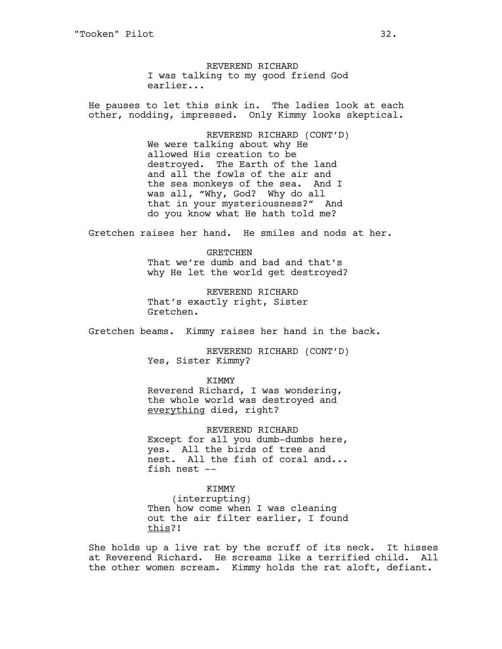REVEREND RICHARD I was talking to my good friend God earlier...

He pauses to let this sink in. The ladies look at each other, nodding, impressed. Only Kimmy looks skeptical.

> REVEREND RICHARD (CONT'D) We were talking about why He allowed His creation to be destroyed. The Earth of the land and all the fowls of the air and the sea monkeys of the sea. And I was all, "Why, God? Why do all that in your mysteriousness?" And do you know what He hath told me?

Gretchen raises her hand. He smiles and nods at her.

GRETCHEN That we're dumb and bad and that's why He let the world get destroyed?

REVEREND RICHARD That's exactly right, Sister Gretchen.

Gretchen beams. Kimmy raises her hand in the back.

REVEREND RICHARD (CONT'D) Yes, Sister Kimmy?

KTMMY

Reverend Richard, I was wondering, the whole world was destroyed and everything died, right?

REVEREND RICHARD Except for all you dumb-dumbs here, yes. All the birds of tree and nest. All the fish of coral and... fish nest --

# KIMMY

(interrupting) Then how come when I was cleaning out the air filter earlier, I found this?!

She holds up a live rat by the scruff of its neck. It hisses at Reverend Richard. He screams like a terrified child. All the other women scream. Kimmy holds the rat aloft, defiant.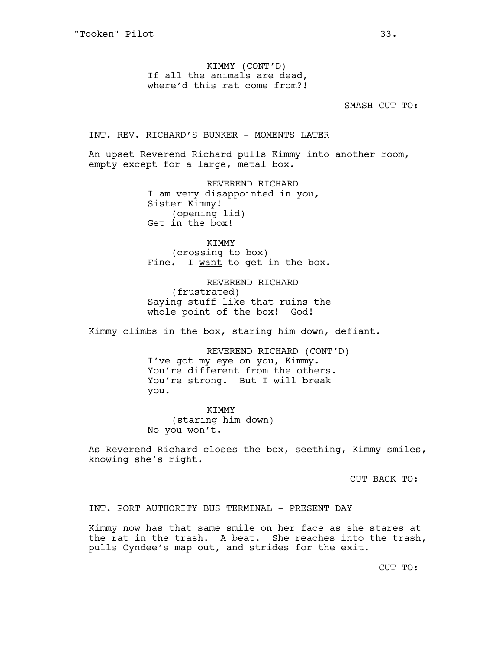KIMMY (CONT'D) If all the animals are dead, where'd this rat come from?!

SMASH CUT TO:

INT. REV. RICHARD'S BUNKER - MOMENTS LATER

An upset Reverend Richard pulls Kimmy into another room, empty except for a large, metal box.

> REVEREND RICHARD I am very disappointed in you, Sister Kimmy! (opening lid) Get in the box!

KIMMY (crossing to box) Fine. I want to get in the box.

REVEREND RICHARD (frustrated) Saying stuff like that ruins the whole point of the box! God!

Kimmy climbs in the box, staring him down, defiant.

REVEREND RICHARD (CONT'D) I've got my eye on you, Kimmy. You're different from the others. You're strong. But I will break you.

KIMMY (staring him down) No you won't.

As Reverend Richard closes the box, seething, Kimmy smiles, knowing she's right.

CUT BACK TO:

INT. PORT AUTHORITY BUS TERMINAL - PRESENT DAY

Kimmy now has that same smile on her face as she stares at the rat in the trash. A beat. She reaches into the trash, pulls Cyndee's map out, and strides for the exit.

CUT TO: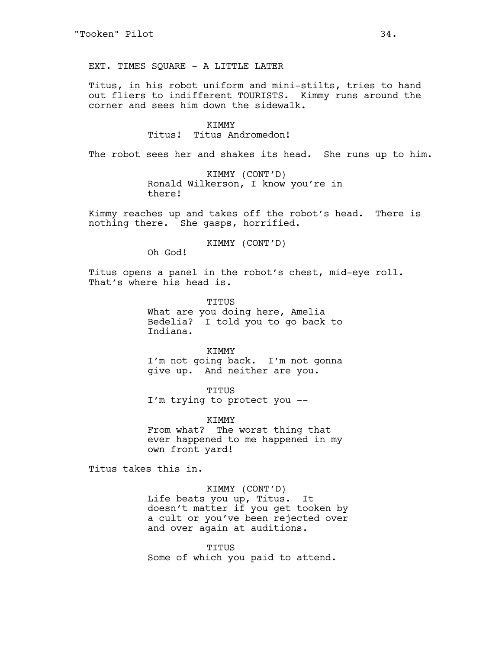EXT. TIMES SQUARE - A LITTLE LATER

Titus, in his robot uniform and mini-stilts, tries to hand out fliers to indifferent TOURISTS. Kimmy runs around the corner and sees him down the sidewalk.

> KIMMY Titus! Titus Andromedon!

The robot sees her and shakes its head. She runs up to him.

KIMMY (CONT'D) Ronald Wilkerson, I know you're in there!

Kimmy reaches up and takes off the robot's head. There is nothing there. She gasps, horrified.

KIMMY (CONT'D)

Oh God!

Titus opens a panel in the robot's chest, mid-eye roll. That's where his head is.

> TITUS What are you doing here, Amelia Bedelia? I told you to go back to Indiana.

> > **KTMMY**

I'm not going back. I'm not gonna give up. And neither are you.

TITUS

I'm trying to protect you --

KIMMY From what? The worst thing that ever happened to me happened in my own front yard!

Titus takes this in.

### KIMMY (CONT'D)

Life beats you up, Titus. It doesn't matter if you get tooken by a cult or you've been rejected over and over again at auditions.

TITUS Some of which you paid to attend.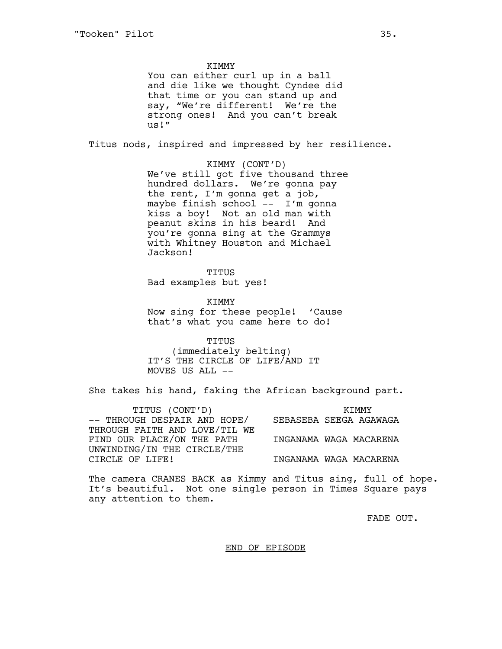**KTMMY** You can either curl up in a ball and die like we thought Cyndee did that time or you can stand up and say, "We're different! We're the strong ones! And you can't break us!" Titus nods, inspired and impressed by her resilience. KIMMY (CONT'D) We've still got five thousand three hundred dollars. We're gonna pay the rent, I'm gonna get a job, maybe finish school -- I'm gonna kiss a boy! Not an old man with peanut skins in his beard! And you're gonna sing at the Grammys with Whitney Houston and Michael Jackson!

> TITUS Bad examples but yes!

KIMMY Now sing for these people! 'Cause that's what you came here to do!

TITUS (immediately belting) IT'S THE CIRCLE OF LIFE/AND IT MOVES US ALL --

She takes his hand, faking the African background part.

TITUS (CONT'D) -- THROUGH DESPAIR AND HOPE/ THROUGH FAITH AND LOVE/TIL WE FIND OUR PLACE/ON THE PATH UNWINDING/IN THE CIRCLE/THE CIRCLE OF LIFE! KIMMY SEBASEBA SEEGA AGAWAGA INGANAMA WAGA MACARENA INGANAMA WAGA MACARENA

The camera CRANES BACK as Kimmy and Titus sing, full of hope. It's beautiful. Not one single person in Times Square pays any attention to them.

FADE OUT.

END OF EPISODE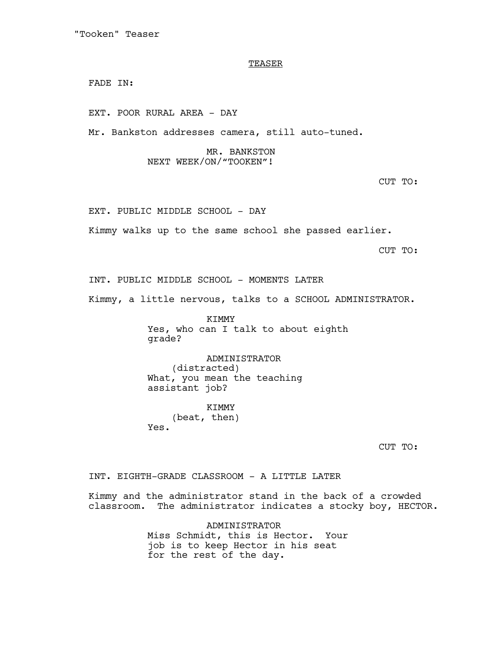"Tooken" Teaser

### **TEASER**

FADE IN:

EXT. POOR RURAL AREA - DAY

Mr. Bankston addresses camera, still auto-tuned.

# MR. BANKSTON NEXT WEEK/ON/"TOOKEN"!

CUT TO:

EXT. PUBLIC MIDDLE SCHOOL - DAY

Kimmy walks up to the same school she passed earlier.

CUT TO:

INT. PUBLIC MIDDLE SCHOOL - MOMENTS LATER

Kimmy, a little nervous, talks to a SCHOOL ADMINISTRATOR.

KIMMY Yes, who can I talk to about eighth grade?

ADMINISTRATOR (distracted) What, you mean the teaching assistant job?

KIMMY (beat, then) Yes.

CUT TO:

INT. EIGHTH-GRADE CLASSROOM - A LITTLE LATER

Kimmy and the administrator stand in the back of a crowded classroom. The administrator indicates a stocky boy, HECTOR.

> ADMINISTRATOR Miss Schmidt, this is Hector. Your job is to keep Hector in his seat for the rest of the day.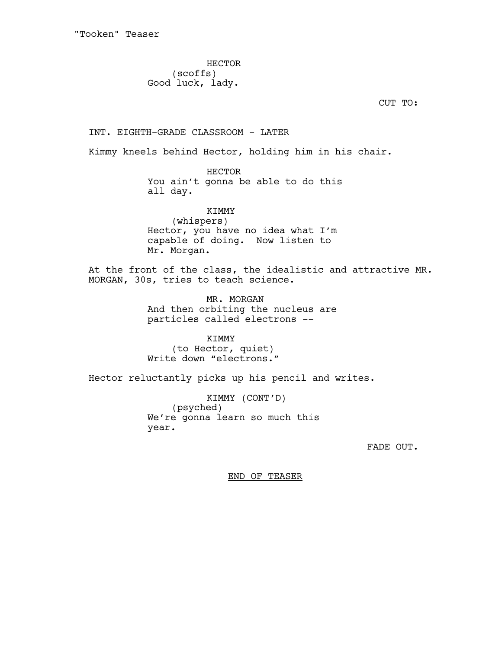HECTOR (scoffs) Good luck, lady.

CUT TO:

INT. EIGHTH-GRADE CLASSROOM - LATER

Kimmy kneels behind Hector, holding him in his chair.

HECTOR You ain't gonna be able to do this all day.

KIMMY (whispers) Hector, you have no idea what I'm capable of doing. Now listen to Mr. Morgan.

At the front of the class, the idealistic and attractive MR. MORGAN, 30s, tries to teach science.

> MR. MORGAN And then orbiting the nucleus are particles called electrons --

KIMMY (to Hector, quiet) Write down "electrons."

Hector reluctantly picks up his pencil and writes.

KIMMY (CONT'D) (psyched) We're gonna learn so much this year.

FADE OUT.

END OF TEASER